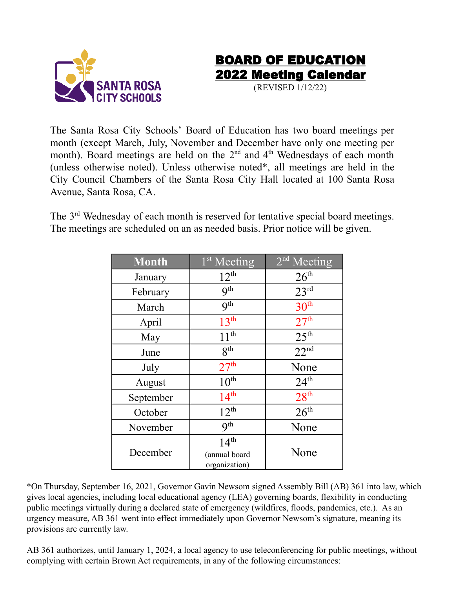



(REVISED 1/12/22)

The Santa Rosa City Schools' Board of Education has two board meetings per month (except March, July, November and December have only one meeting per month). Board meetings are held on the  $2<sup>nd</sup>$  and  $4<sup>th</sup>$  Wednesdays of each month (unless otherwise noted). Unless otherwise noted\*, all meetings are held in the City Council Chambers of the Santa Rosa City Hall located at 100 Santa Rosa Avenue, Santa Rosa, CA.

The 3<sup>rd</sup> Wednesday of each month is reserved for tentative special board meetings. The meetings are scheduled on an as needed basis. Prior notice will be given.

| Month     | $1st$ Meeting                                      | 2 <sup>nd</sup> Meeting |
|-----------|----------------------------------------------------|-------------------------|
| January   | $12^{th}$                                          | 26 <sup>th</sup>        |
| February  | <b>9th</b>                                         | 23 <sup>rd</sup>        |
| March     | <b>9th</b>                                         | 30 <sup>th</sup>        |
| April     | 13 <sup>th</sup>                                   | 27 <sup>th</sup>        |
| May       | 11 <sup>th</sup>                                   | 25 <sup>th</sup>        |
| June      | <b>g</b> th                                        | 22 <sup>nd</sup>        |
| July      | 27 <sup>th</sup>                                   | None                    |
| August    | 10 <sup>th</sup>                                   | 24 <sup>th</sup>        |
| September | 14 <sup>th</sup>                                   | 28 <sup>th</sup>        |
| October   | $12^{th}$                                          | 26 <sup>th</sup>        |
| November  | <b>Qth</b>                                         | None                    |
| December  | 14 <sup>th</sup><br>(annual board<br>organization) | None                    |

\*On Thursday, September 16, 2021, Governor Gavin Newsom signed Assembly Bill (AB) 361 into law, which gives local agencies, including local educational agency (LEA) governing boards, flexibility in conducting public meetings virtually during a declared state of emergency (wildfires, floods, pandemics, etc.). As an urgency measure, AB 361 went into effect immediately upon Governor Newsom's signature, meaning its provisions are currently law.

AB 361 authorizes, until January 1, 2024, a local agency to use teleconferencing for public meetings, without complying with certain Brown Act requirements, in any of the following circumstances: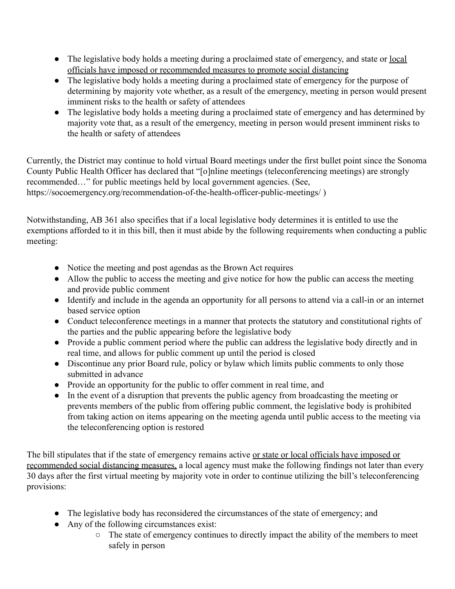- The legislative body holds a meeting during a proclaimed state of emergency, and state or <u>local</u> officials have imposed or recommended measures to promote social distancing
- The legislative body holds a meeting during a proclaimed state of emergency for the purpose of determining by majority vote whether, as a result of the emergency, meeting in person would present imminent risks to the health or safety of attendees
- The legislative body holds a meeting during a proclaimed state of emergency and has determined by majority vote that, as a result of the emergency, meeting in person would present imminent risks to the health or safety of attendees

Currently, the District may continue to hold virtual Board meetings under the first bullet point since the Sonoma County Public Health Officer has declared that "[o]nline meetings (teleconferencing meetings) are strongly recommended…" for public meetings held by local government agencies. (See, https://socoemergency.org/recommendation-of-the-health-officer-public-meetings/ )

Notwithstanding, AB 361 also specifies that if a local legislative body determines it is entitled to use the exemptions afforded to it in this bill, then it must abide by the following requirements when conducting a public meeting:

- Notice the meeting and post agendas as the Brown Act requires
- Allow the public to access the meeting and give notice for how the public can access the meeting and provide public comment
- Identify and include in the agenda an opportunity for all persons to attend via a call-in or an internet based service option
- Conduct teleconference meetings in a manner that protects the statutory and constitutional rights of the parties and the public appearing before the legislative body
- Provide a public comment period where the public can address the legislative body directly and in real time, and allows for public comment up until the period is closed
- Discontinue any prior Board rule, policy or bylaw which limits public comments to only those submitted in advance
- Provide an opportunity for the public to offer comment in real time, and
- In the event of a disruption that prevents the public agency from broadcasting the meeting or prevents members of the public from offering public comment, the legislative body is prohibited from taking action on items appearing on the meeting agenda until public access to the meeting via the teleconferencing option is restored

The bill stipulates that if the state of emergency remains active or state or local officials have imposed or recommended social distancing measures, a local agency must make the following findings not later than every 30 days after the first virtual meeting by majority vote in order to continue utilizing the bill's teleconferencing provisions:

- The legislative body has reconsidered the circumstances of the state of emergency; and
- Any of the following circumstances exist:
	- The state of emergency continues to directly impact the ability of the members to meet safely in person